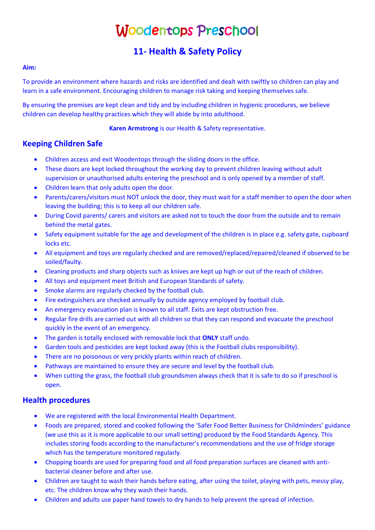# Woodentops Preschool

## **11- Health & Safety Policy**

#### **Aim:**

To provide an environment where hazards and risks are identified and dealt with swiftly so children can play and learn in a safe environment. Encouraging children to manage risk taking and keeping themselves safe.

By ensuring the premises are kept clean and tidy and by including children in hygienic procedures, we believe children can develop healthy practices which they will abide by into adulthood.

#### **Karen Armstrong** is our Health & Safety representative.

### **Keeping Children Safe**

- Children access and exit Woodentops through the sliding doors in the office.
- These doors are kept locked throughout the working day to prevent children leaving without adult supervision or unauthorised adults entering the preschool and is only opened by a member of staff.
- Children learn that only adults open the door.
- Parents/carers/visitors must NOT unlock the door, they must wait for a staff member to open the door when leaving the building; this is to keep all our children safe.
- During Covid parents/ carers and visitors are asked not to touch the door from the outside and to remain behind the metal gates.
- Safety equipment suitable for the age and development of the children is in place e.g. safety gate, cupboard locks etc.
- All equipment and toys are regularly checked and are removed/replaced/repaired/cleaned if observed to be soiled/faulty.
- Cleaning products and sharp objects such as knives are kept up high or out of the reach of children.
- All toys and equipment meet British and European Standards of safety.
- Smoke alarms are regularly checked by the football club.
- Fire extinguishers are checked annually by outside agency employed by football club.
- An emergency evacuation plan is known to all staff. Exits are kept obstruction free.
- Regular fire drills are carried out with all children so that they can respond and evacuate the preschool quickly in the event of an emergency.
- The garden is totally enclosed with removable lock that **ONLY** staff undo.
- Garden tools and pesticides are kept locked away (this is the Football clubs responsibility).
- There are no poisonous or very prickly plants within reach of children.
- Pathways are maintained to ensure they are secure and level by the football club.
- When cutting the grass, the football club groundsmen always check that it is safe to do so if preschool is open.

#### **Health procedures**

- We are registered with the local Environmental Health Department.
- Foods are prepared, stored and cooked following the 'Safer Food Better Business for Childminders' guidance (we use this as it is more applicable to our small setting) produced by the Food Standards Agency. This includes storing foods according to the manufacturer's recommendations and the use of fridge storage which has the temperature monitored regularly.
- Chopping boards are used for preparing food and all food preparation surfaces are cleaned with antibacterial cleaner before and after use.
- Children are taught to wash their hands before eating, after using the toilet, playing with pets, messy play, etc. The children know why they wash their hands.
- Children and adults use paper hand towels to dry hands to help prevent the spread of infection.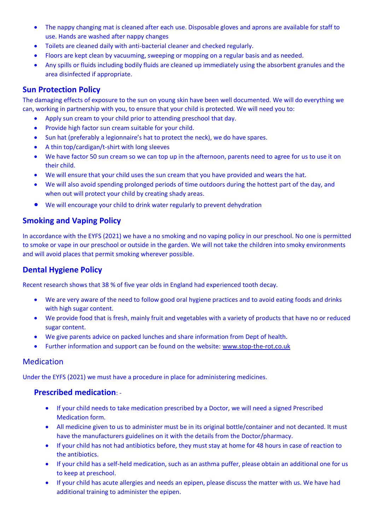- The nappy changing mat is cleaned after each use. Disposable gloves and aprons are available for staff to use. Hands are washed after nappy changes
- Toilets are cleaned daily with anti-bacterial cleaner and checked regularly.
- Floors are kept clean by vacuuming, sweeping or mopping on a regular basis and as needed.
- Any spills or fluids including bodily fluids are cleaned up immediately using the absorbent granules and the area disinfected if appropriate.

#### **Sun Protection Policy**

The damaging effects of exposure to the sun on young skin have been well documented. We will do everything we can, working in partnership with you, to ensure that your child is protected. We will need you to:

- Apply sun cream to your child prior to attending preschool that day.
- Provide high factor sun cream suitable for your child.
- Sun hat (preferably a legionnaire's hat to protect the neck), we do have spares.
- A thin top/cardigan/t-shirt with long sleeves
- We have factor 50 sun cream so we can top up in the afternoon, parents need to agree for us to use it on their child.
- We will ensure that your child uses the sun cream that you have provided and wears the hat.
- We will also avoid spending prolonged periods of time outdoors during the hottest part of the day, and when out will protect your child by creating shady areas.
- We will encourage your child to drink water regularly to prevent dehydration

### **Smoking and Vaping Policy**

In accordance with the EYFS (2021) we have a no smoking and no vaping policy in our preschool. No one is permitted to smoke or vape in our preschool or outside in the garden. We will not take the children into smoky environments and will avoid places that permit smoking wherever possible.

## **Dental Hygiene Policy**

Recent research shows that 38 % of five year olds in England had experienced tooth decay.

- We are very aware of the need to follow good oral hygiene practices and to avoid eating foods and drinks with high sugar content.
- We provide food that is fresh, mainly fruit and vegetables with a variety of products that have no or reduced sugar content.
- We give parents advice on packed lunches and share information from Dept of health.
- Further information and support can be found on the website: [www.stop-the-rot.co.uk](www.stop-the-rot.co.uk%20)

#### Medication

Under the EYFS (2021) we must have a procedure in place for administering medicines.

#### **Prescribed medication**: -

- If your child needs to take medication prescribed by a Doctor, we will need a signed Prescribed Medication form.
- All medicine given to us to administer must be in its original bottle/container and not decanted. It must have the manufacturers guidelines on it with the details from the Doctor/pharmacy.
- If your child has not had antibiotics before, they must stay at home for 48 hours in case of reaction to the antibiotics.
- If your child has a self-held medication, such as an asthma puffer, please obtain an additional one for us to keep at preschool.
- If your child has acute allergies and needs an epipen, please discuss the matter with us. We have had additional training to administer the epipen.